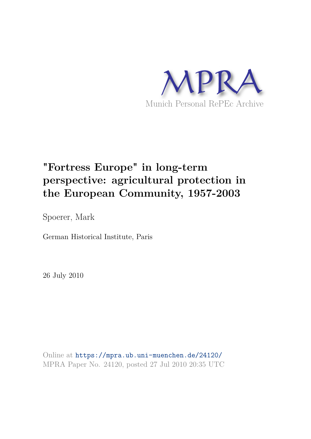

# **"Fortress Europe" in long-term perspective: agricultural protection in the European Community, 1957-2003**

Spoerer, Mark

German Historical Institute, Paris

26 July 2010

Online at https://mpra.ub.uni-muenchen.de/24120/ MPRA Paper No. 24120, posted 27 Jul 2010 20:35 UTC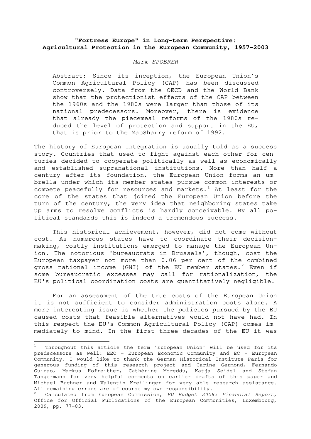# **"Fortress Europe" in Long-term Perspective: Agricultural Protection in the European Community, 1957-2003**

#### Mark SPOERER

Abstract: Since its inception, the European Union's Common Agricultural Policy (CAP) has been discussed controversely. Data from the OECD and the World Bank show that the protectionist effects of the CAP between the 1960s and the 1980s were larger than those of its national predecessors. Moreover, there is evidence that already the piecemeal reforms of the 1980s reduced the level of protection and support in the EU, that is prior to the MacSharry reform of 1992.

The history of European integration is usually told as a success story. Countries that used to fight against each other for centuries decided to cooperate politically as well as economically and established supranational institutions. More than half a century after its foundation, the European Union forms an umbrella under which its member states pursue common interests or compete peacefully for resources and markets.<sup>[1](#page-1-0)</sup> At least for the core of the states that joined the European Union before the turn of the century, the very idea that neighboring states take up arms to resolve conflicts is hardly conceivable. By all political standards this is indeed a tremendous success.

This historical achievement, however, did not come without cost. As numerous states have to coordinate their decisionmaking, costly institutions emerged to manage the European Union. The notorious 'bureaucrats in Brussels', though, cost the European taxpayer not more than 0.06 per cent of the combined gross national income (GNI) of the EU member states.<sup>[2](#page-1-1)</sup> Even if some bureaucratic excesses may call for rationalization, the EU's political coordination costs are quantitatively negligible.

For an assessment of the true costs of the European Union it is not sufficient to consider administration costs alone. A more interesting issue is whether the policies pursued by the EU caused costs that feasible alternatives would not have had. In this respect the EU's Common Agricultural Policy (CAP) comes immediately to mind. In the first three decades of the EU it was

<span id="page-1-0"></span><sup>1</sup> Throughout this article the term 'European Union' will be used for its predecessors as well: EEC - European Economic Community and EC - European Community. I would like to thank the German Historical Institute Paris for generous funding of this research project and Carine Germond, Fernando Guirao, Markus Hofreither, Cathérine Moreddu, Katja Seidel and Stefan Tangermann for very helpful comments on earlier drafts of this paper and Michael Buchner and Valentin Kreilinger for very able research assistance. All remaining errors are of course my own responsibility.

<span id="page-1-1"></span><sup>&</sup>lt;sup>2</sup> Calculated from European Commission, EU Budget 2008: Financial Report, Office for Official Publications of the European Communities, Luxembourg, 2009, pp. 77-83.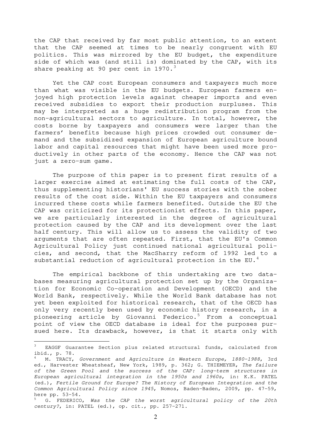the CAP that received by far most public attention, to an extent that the CAP seemed at times to be nearly congruent with EU politics. This was mirrored by the EU budget, the expenditure side of which was (and still is) dominated by the CAP, with its share peaking at 90 per cent in 1970. $3$ 

Yet the CAP cost European consumers and taxpayers much more than what was visible in the EU budgets. European farmers enjoyed high protection levels against cheaper imports and even received subsidies to export their production surpluses. This may be interpreted as a huge redistribution program from the non-agricultural sectors to agriculture. In total, however, the costs borne by taxpayers and consumers were larger than the farmers' benefits because high prices crowded out consumer demand and the subsidized expansion of European agriculture bound labor and capital resources that might have been used more productively in other parts of the economy. Hence the CAP was not just a zero-sum game.

The purpose of this paper is to present first results of a larger exercise aimed at estimating the full costs of the CAP, thus supplementing historians' EU success stories with the sober results of the cost side. Within the EU taxpayers and consumers incurred these costs while farmers benefited. Outside the EU the CAP was criticized for its protectionist effects. In this paper, we are particularly interested in the degree of agricultural protection caused by the CAP and its development over the last half century. This will allow us to assess the validity of two arguments that are often repeated. First, that the EU's Common Agricultural Policy just continued national agricultural policies, and second, that the MacSharry reform of 1992 led to a substantial reduction of agricultural protection in the EU.<sup>[4](#page-2-1)</sup>

The empirical backbone of this undertaking are two databases measuring agricultural protection set up by the Organization for Economic Co-operation and Development (OECD) and the World Bank, respectively. While the World Bank database has not yet been exploited for historical research, that of the OECD has only very recently been used by economic history research, in a pioneering article by Giovanni Federico.<sup>[5](#page-2-2)</sup> From a conceptual point of view the OECD database is ideal for the purposes pursued here. Its drawback, however, is that it starts only with

<span id="page-2-0"></span>EAGGF Guarantee Section plus related structural funds, calculated from ibid., p. 78.

<span id="page-2-1"></span>M. TRACY, Government and Agriculture in Western Europe, 1880-1988, 3rd ed., Harvester Wheatsheaf, New York, 1989, p. 362; G. THIEMEYER, The failure of the Green Pool and the success of the CAP: long-term structures in European agricultural integration in the 1950s and 1960s, in: K.K. PATEL (ed.), Fertile Ground for Europe? The History of European Integration and the Common Agricultural Policy since 1945, Nomos, Baden-Baden, 2009, pp. 47-59, here pp. 53-54.

<span id="page-2-2"></span> $5$  G. FEDERICO, Was the CAP the worst agricultural policy of the 20th century?, in: PATEL (ed.), op. cit., pp. 257-271.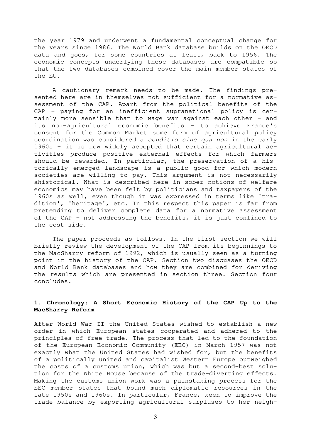the year 1979 and underwent a fundamental conceptual change for the years since 1986. The World Bank database builds on the OECD data and goes, for some countries at least, back to 1956. The economic concepts underlying these databases are compatible so that the two databases combined cover the main member states of the EU.

A cautionary remark needs to be made. The findings presented here are in themselves not sufficient for a normative assessment of the CAP. Apart from the political benefits of the CAP – paying for an inefficient supranational policy is certainly more sensible than to wage war against each other – and its non-agricultural economic benefits – to achieve France's consent for the Common Market some form of agricultural policy coordination was considered a conditio sine qua non in the early 1960s – it is now widely accepted that certain agricultural activities produce positive external effects for which farmers should be rewarded. In particular, the preservation of a historically emerged landscape is a public good for which modern societies are willing to pay. This argument is not necessarily ahistorical. What is described here in sober notions of welfare economics may have been felt by politicians and taxpayers of the 1960s as well, even though it was expressed in terms like 'tradition', 'heritage', etc. In this respect this paper is far from pretending to deliver complete data for a normative assessment of the CAP – not addressing the benefits, it is just confined to the cost side.

The paper proceeds as follows. In the first section we will briefly review the development of the CAP from its beginnings to the MacSharry reform of 1992, which is usually seen as a turning point in the history of the CAP. Section two discusses the OECD and World Bank databases and how they are combined for deriving the results which are presented in section three. Section four concludes.

### **1. Chronology: A Short Economic History of the CAP Up to the MacSharry Reform**

After World War II the United States wished to establish a new order in which European states cooperated and adhered to the principles of free trade. The process that led to the foundation of the European Economic Community (EEC) in March 1957 was not exactly what the United States had wished for, but the benefits of a politically united and capitalist Western Europe outweighed the costs of a customs union, which was but a second-best solution for the White House because of the trade-diverting effects. Making the customs union work was a painstaking process for the EEC member states that bound much diplomatic resources in the late 1950s and 1960s. In particular, France, keen to improve the trade balance by exporting agricultural surpluses to her neigh-

3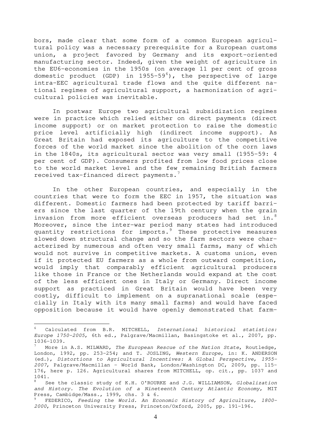bors, made clear that some form of a common European agricultural policy was a necessary prerequisite for a European customs union, a project favored by Germany and its export-oriented manufacturing sector. Indeed, given the weight of agriculture in the EU6-economies in the 1950s (on average 11 per cent of gross domestic product (GDP) in  $1955-59^6$  $1955-59^6$ ), the perspective of large intra-EEC agricultural trade flows and the quite different national regimes of agricultural support, a harmonization of agricultural policies was inevitable.

In postwar Europe two agricultural subsidization regimes were in practice which relied either on direct payments (direct income support) or on market protection to raise the domestic price level artificially high (indirect income support). As Great Britain had exposed its agriculture to the competitive forces of the world market since the abolition of the corn laws in the 1840s, its agricultural sector was very small (1955-59: 4 per cent of GDP). Consumers profited from low food prices close to the world market level and the few remaining British farmers received tax-financed direct payments.[7](#page-4-1)

In the other European countries, and especially in the countries that were to form the EEC in 1957, the situation was different. Domestic farmers had been protected by tariff barriers since the last quarter of the 19th century when the grain invasion from more efficient overseas producers had set in.<sup>[8](#page-4-2)</sup> Moreover, since the inter-war period many states had introduced quantity restrictions for imports.[9](#page-4-3) These protective measures slowed down structural change and so the farm sectors were characterized by numerous and often very small farms, many of which would not survive in competitive markets. A customs union, even if it protected EU farmers as a whole from outward competition, would imply that comparably efficient agricultural producers like those in France or the Netherlands would expand at the cost of the less efficient ones in Italy or Germany. Direct income support as practiced in Great Britain would have been very costly, difficult to implement on a supranational scale (especially in Italy with its many small farms) and would have faced opposition because it would have openly demonstrated that farm-

<span id="page-4-0"></span>Calculated from B.R. MITCHELL, International historical statistics: Europe 1750-2005, 6th ed., Palgrave/Macmillan, Basingstoke et al., 2007, pp. 1036-1039.

<span id="page-4-1"></span>More in A.S. MILWARD, The European Rescue of the Nation State, Routledge, London, 1992, pp. 253-254; and T. JOSLING, Western Europe, in: K. ANDERSON (ed.), Distortions to Agricultural Incentives: A Global Perspective, 1955- 2007, Palgrave/Macmillan - World Bank, London/Washington DC, 2009, pp. 115- 176, here p. 126. Agricultural shares from MITCHELL, op. cit., pp. 1037 and 1041.

<span id="page-4-2"></span>See the classic study of K.H. O'ROURKE and J.G. WILLIAMSON, Globalization and History. The Evolution of a Nineteenth Century Atlantic Economy, MIT Press, Cambidge/Mass., 1999, chs. 3 & 6.

<span id="page-4-3"></span><sup>9</sup> FEDERICO, Feeding the World. An Economic History of Agriculture, 1800- 2000, Princeton University Press, Princeton/Oxford, 2005, pp. 191-196.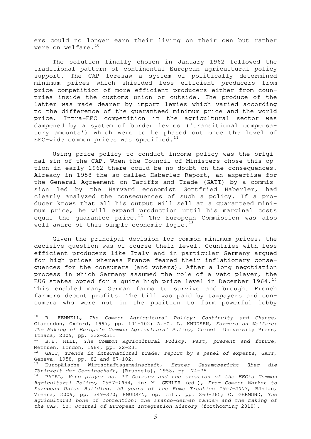ers could no longer earn their living on their own but rather were on welfare.<sup>[10](#page-5-0)</sup>

The solution finally chosen in January 1962 followed the traditional pattern of continental European agricultural policy support. The CAP foresaw a system of politically determined minimum prices which shielded less efficient producers from price competition of more efficient producers either from countries inside the customs union or outside. The produce of the latter was made dearer by import levies which varied according to the difference of the guaranteed minimum price and the world price. Intra-EEC competition in the agricultural sector was dampened by a system of border levies ('transitional compensatory amounts') which were to be phased out once the level of EEC-wide common prices was specified. $^{11}$  $^{11}$  $^{11}$ 

Using price policy to conduct income policy was the original sin of the CAP. When the Council of Ministers chose this option in early 1962 there could be no doubt on the consequences. Already in 1958 the so-called Haberler Report, an expertise for the General Agreement on Tariffs and Trade (GATT) by a commission led by the Harvard economist Gottfried Haberler, had clearly analyzed the consequences of such a policy. If a producer knows that all his output will sell at a guaranteed minimum price, he will expand production until his marginal costs equal the guarantee price.<sup>[12](#page-5-2)</sup> The European Commission was also well aware of this simple economic logic. $^{13}$  $^{13}$  $^{13}$ 

Given the principal decision for common minimum prices, the decisive question was of course their level. Countries with less efficient producers like Italy and in particular Germany argued for high prices whereas France feared their inflationary consequences for the consumers (and voters). After a long negotiation process in which Germany assumed the role of a veto player, the EU6 states opted for a quite high price level in December  $1964.^{14}$  $1964.^{14}$  $1964.^{14}$ This enabled many German farms to survive and brought French farmers decent profits. The bill was paid by taxpayers and consumers who were not in the position to form powerful lobby

<span id="page-5-0"></span> $10$  R. FENNELL, The Common Agricultural Policy: Continuity and Change, Clarendon, Oxford, 1997, pp. 101-102; A.-C. L. KNUDSEN, Farmers on Welfare: The Making of Europe's Common Agricultural Policy, Cornell University Press, Ithaca, 2009, pp. 232-251.

<span id="page-5-1"></span> $11$  B.E. HILL, The Common Agricultural Policy: Past, present and future, Methuen, London, 1984, pp. 22-23.

<span id="page-5-2"></span> $12$  GATT, Trends in international trade: report by a panel of experts, GATT, Geneva, 1958, pp. 82 and 87-102.

<span id="page-5-3"></span> $13$  Europäische Wirtschaftsgemeinschaft, Erster Gesamtbericht über die Tätigkeit der Gemeinschaft, [Brussels], 1958, pp. 74-75.

<span id="page-5-4"></span><sup>&</sup>lt;sup>14</sup> PATEL, Veto player no. 1? Germany and the creation of the EEC's Common Agricultural Policy, 1957-1964, in: M. GEHLER (ed.), From Common Market to European Union Building. 50 years of the Rome Treaties 1957-2007, Böhlau, Vienna, 2009, pp. 349-370; KNUDSEN, op. cit., pp. 260-265; C. GERMOND, The agricultural bone of contention: the Franco-German tandem and the making of the CAP, in: Journal of European Integration History (forthcoming 2010).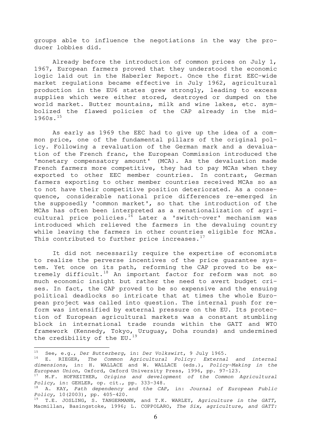groups able to influence the negotiations in the way the producer lobbies did.

Already before the introduction of common prices on July 1, 1967, European farmers proved that they understood the economic logic laid out in the Haberler Report. Once the first EEC-wide market regulations became effective in July 1962, agricultural production in the EU6 states grew strongly, leading to excess supplies which were either stored, destroyed or dumped on the world market. Butter mountains, milk and wine lakes, etc. symbolized the flawed policies of the CAP already in the mid-1960s.[15](#page-6-0)

As early as 1969 the EEC had to give up the idea of a common price, one of the fundamental pillars of the original policy. Following a revaluation of the German mark and a devaluation of the French franc, the European Commission introduced the 'monetary compensatory amount' (MCA). As the devaluation made French farmers more competitive, they had to pay MCAs when they exported to other EEC member countries. In contrast, German farmers exporting to other member countries received MCAs so as to not have their competitive position deteriorated. As a consequence, considerable national price differences re-emerged in the supposedly 'common market', so that the introduction of the MCAs has often been interpreted as a renationalization of agri-cultural price policies.<sup>[16](#page-6-1)</sup> Later a 'switch-over' mechanism was introduced which relieved the farmers in the devaluing country while leaving the farmers in other countries eligible for MCAs. This contributed to further price increases. $^{17}$  $^{17}$  $^{17}$ 

It did not necessarily require the expertise of economists to realize the perverse incentives of the price guarantee system. Yet once on its path, reforming the CAP proved to be ex-tremely difficult.<sup>[18](#page-6-3)</sup> An important factor for reform was not so much economic insight but rather the need to avert budget crises. In fact, the CAP proved to be so expensive and the ensuing political deadlocks so intricate that at times the whole European project was called into question. The internal push for reform was intensified by external pressure on the EU. Its protection of European agricultural markets was a constant stumbling block in international trade rounds within the GATT and WTO framework (Kennedy, Tokyo, Uruguay, Doha rounds) and undermined the credibility of the  $E_{U}$ .<sup>[19](#page-6-4)</sup>

<span id="page-6-0"></span><sup>15</sup> See, e.g., Der Butterberg, in: Der Volkswirt, 9 July 1965.

<span id="page-6-1"></span> $^{16}$  E. RIEGER, The Common Agricultural Policy: External and internal dimensions, in: H. WALLACE and W. WALLACE (eds.), Policy-Making in the European Union, Oxford, Oxford University Press, 1996, pp. 97-123.

<span id="page-6-2"></span> $17$  M.F. HOFREITHER, Origins and development of the Common Agricultural Policy, in: GEHLER, op. cit., pp. 333-348.

<span id="page-6-3"></span> $18$  A. KAY, Path dependency and the CAP, in: Journal of European Public Policy, 10(2003), pp. 405-420.

<span id="page-6-4"></span><sup>19</sup> T.E**.** JOSLING, S. TANGERMANN, and T.K. WARLEY, Agriculture in the GATT, Macmillan, Basingstoke, 1996; L. COPPOLARO, The Six, agriculture, and GATT: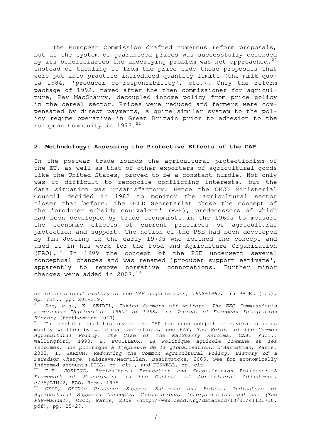The European Commission drafted numerous reform proposals, but as the system of guaranteed prices was successfully defended by its beneficiaries the underlying problem was not approached.<sup>[20](#page-7-0)</sup> Instead of tackling it from the price side those proposals that were put into practice introduced quantity limits (the milk quota 1984, 'producer co-responsibility', etc.). Only the reform package of 1992, named after the then commissioner for agriculture, Ray MacSharry, decoupled income policy from price policy in the cereal sector. Prices were reduced and farmers were compensated by direct payments, a quite similar system to the policy regime operative in Great Britain prior to adhesion to the European Community in  $1973.^{21}$  $1973.^{21}$  $1973.^{21}$ 

#### **2. Methodology: Assessing the Protective Effects of the CAP**

In the postwar trade rounds the agricultural protectionism of the EU, as well as that of other exporters of agricultural goods like the United States, proved to be a constant hurdle. Not only was it difficult to reconcile conflicting interests, but the data situation was unsatisfactory. Hence the OECD Ministerial Council decided in 1982 to monitor the agricultural sector closer than before. The OECD Secretariat chose the concept of the 'producer subsidy equivalent' (PSE), predecessors of which had been developed by trade economists in the 1960s to measure the economic effects of current practices of agricultural protection and support. The notion of the PSE had been developed by Tim Josling in the early 1970s who refined the concept and used it in his work for the Food and Agriculture Organization (FAO).[22](#page-7-2) In 1999 the concept of the PSE underwent several conceptual changes and was renamed 'producer support estimate', apparently to remove normative connotations. Further minor changes were added in  $2007.^{23}$  $2007.^{23}$  $2007.^{23}$ 

an international history of the CAP negotiations,  $1958-1967$ , in: PATEL (ed.), op. cit., pp. 201-219.

 $\overline{a}$ 

<span id="page-7-0"></span>See, e.g., K. SEIDEL, Taking farmers off welfare. The EEC Commission's memorandum "Agriculture 1980" of 1968, in: Journal of European Integration History (forthcoming 2010).

<span id="page-7-1"></span>The institutional history of the CAP has been subject of several studies mostly written by political scientists, see KAY, The Reform of the Common Agricultural Policy: The Case of the MacSharry Reforms, CABI Publ., Wallingford, 1998; E. FOUILLEUX, La Politique agricole commune et ses réformes: une politique à l'épreuve de la globalisation, L'Harmattan, Paris, 2003; I. GARZON, Reforming the Common Agricultural Policy: History of a Paradigm Change, Palgrave/Macmillan, Basingstoke, 2006. See for economically informed accounts HILL, op. cit., and FENNELL, op. cit.

<span id="page-7-2"></span> $22$  T.E. JOSLING, Agricultural Protection and Stabilization Policies: A Framework of Measurement in the Context of Agricultural Adjustment, c/75/LIM/2, FAO, Rome, 1975.

<span id="page-7-3"></span><sup>23</sup> OECD, OECD's Producer Support Estimate and Related Indicators of Agricultural Support: Concepts, Calculations, Interpretation and Use (The PSE-Manual), OECD, Paris, 2008 [\(http://www.oecd.org/dataoecd/18/31/41121738](http://www.oecd.org/dataoecd/18/31/41121738). pdf), pp. 25-27.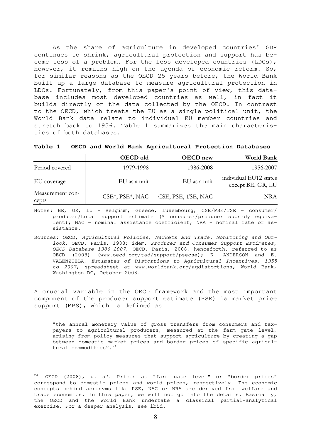As the share of agriculture in developed countries' GDP continues to shrink, agricultural protection and support has become less of a problem. For the less developed countries (LDCs), however, it remains high on the agenda of economic reform. So, for similar reasons as the OECD 25 years before, the World Bank built up a large database to measure agricultural protection in LDCs. Fortunately, from this paper's point of view, this database includes most developed countries as well, in fact it builds directly on the data collected by the OECD. In contrast to the OECD, which treats the EU as a single political unit, the World Bank data relate to individual EU member countries and stretch back to 1956. Table 1 summarizes the main characteristics of both databases.

|  |  |  |  | Table 1 OECD and World Bank Agricultural Protection Databases |  |  |
|--|--|--|--|---------------------------------------------------------------|--|--|
|--|--|--|--|---------------------------------------------------------------|--|--|

|                           | OECD old        | <b>OECD</b> new    | <b>World Bank</b>                           |
|---------------------------|-----------------|--------------------|---------------------------------------------|
| Period covered            | 1979-1998       | 1986-2008          | 1956-2007                                   |
| EU coverage               | EU as a unit    | EU as a unit       | individual EU12 states<br>except BE, GR, LU |
| Measurement con-<br>cepts | CSE*, PSE*, NAC | CSE, PSE, TSE, NAC | NRA                                         |

Notes: BE, GR, LU - Belgium, Greece, Luxembourg; CSE/PSE/TSE - consumer/ producer/total support estimate (\* consumer/producer subsidy equivalent); NAC - nominal assistance coefficient; NRA - nominal rate of assistance.

A crucial variable in the OECD framework and the most important component of the producer support estimate (PSE) is market price support (MPS), which is defined as

"the annual monetary value of gross transfers from consumers and taxpayers to agricultural producers, measured at the farm gate level, arising from policy measures that support agriculture by creating a gap between domestic market prices and border prices of specific agricul-tural commodities".<sup>[24](#page-8-0)</sup>

Sources: OECD, Agricultural Policies, Markets and Trade. Monitoring and Outlook, OECD, Paris, 1988; idem, Producer and Consumer Support Estimates, OECD Database 1986-2007, OECD, Paris, 2008, henceforth, referred to as OECD (2008) ([www.oecd.org/tad/support/psecse\)](http://www.oecd.org/tad/support/psecse); K. ANDERSON and E. VALENZUELA, Estimates of Distortions to Agricultural Incentives, 1955 to 2007, spreadsheet at www.worldbank.org/agdistortions, World Bank, Washington DC, October 2008.

<span id="page-8-0"></span> $24$  OECD (2008), p. 57. Prices at "farm gate level" or "border prices" correspond to domestic prices and world prices, respectively. The economic concepts behind acronyms like PSE, NAC or NRA are derived from welfare and trade economics. In this paper, we will not go into the details. Basically, the OECD and the World Bank undertake a classical partial-analytical exercise. For a deeper analysis, see ibid.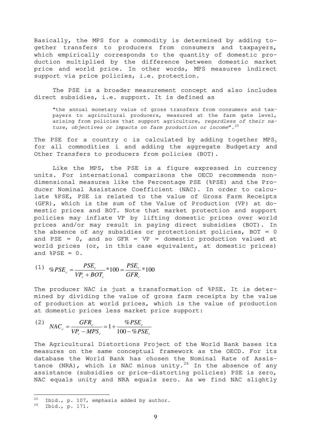Basically, the MPS for a commodity is determined by adding together transfers to producers from consumers and taxpayers, which empirically corresponds to the quantity of domestic production multiplied by the difference between domestic market price and world price. In other words, MPS measures indirect support via price policies, i.e. protection.

The PSE is a broader measurement concept and also includes direct subsidies, i.e. support. It is defined as

"the annual monetary value of gross transfers from consumers and taxpayers to agricultural producers, measured at the farm gate level, arising from policies that support agriculture, regardless of their nature, objectives or impacts on farm production or income".  $25$ 

The PSE for a country c is calculated by adding together  $MPS<sub>i</sub>$ for all commodities i and adding the aggregate Budgetary and Other Transfers to producers from policies (BOT).

Like the MPS, the PSE is a figure expressed in currency units. For international comparisons the OECD recommends nondimensional measures like the Percentage PSE (%PSE) and the Producer Nominal Assistance Coefficient (NAC). In order to calculate %PSE, PSE is related to the value of Gross Farm Receipts (GFR), which is the sum of the Value of Production (VP) at domestic prices and BOT. Note that market protection and support policies may inflate VP by lifting domestic prices over world prices and/or may result in paying direct subsidies (BOT). In the absence of any subsidies or protectionist policies, BOT =  $0$ and PSE =  $0$ , and so GFR = VP = domestic production valued at world prices (or, in this case equivalent, at domestic prices) and  $8PSE = 0$ .

(1) 
$$
\%PSE_c = \frac{PSE_c}{VP_c + BOT_c} * 100 = \frac{PSE_c}{GFR_c} * 100
$$

The producer NAC is just a transformation of %PSE. It is determined by dividing the value of gross farm receipts by the value of production at world prices, which is the value of production at domestic prices less market price support:

(2) 
$$
NAC_c = \frac{GFR_c}{VP_c - MPS_c} = 1 + \frac{\%PSE_c}{100 - \%PSE_c}
$$

The Agricultural Distortions Project of the World Bank bases its measures on the same conceptual framework as the OECD. For its database the World Bank has chosen the Nominal Rate of Assis-tance (NRA), which is NAC minus unity.<sup>[26](#page-9-1)</sup> In the absence of any assistance (subsidies or price-distorting policies) PSE is zero, NAC equals unity and NRA equals zero. As we find NAC slightly

<span id="page-9-0"></span><sup>&</sup>lt;sup>25</sup> Ibid., p. 107, emphasis added by author.<br><sup>26</sup> Ibid., 20171

<span id="page-9-1"></span><sup>26</sup> Ibid., p. 171.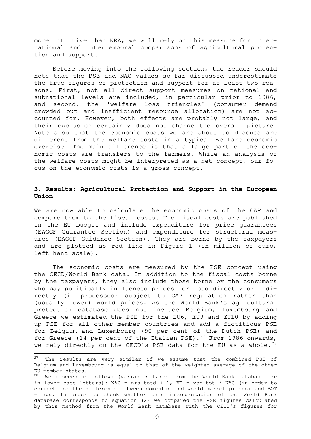more intuitive than NRA, we will rely on this measure for international and intertemporal comparisons of agricultural protection and support.

Before moving into the following section, the reader should note that the PSE and NAC values so-far discussed underestimate the true figures of protection and support for at least two reasons. First, not all direct support measures on national and subnational levels are included, in particular prior to 1986, and second, the 'welfare loss triangles' (consumer demand crowded out and inefficient resource allocation) are not accounted for. However, both effects are probably not large, and their exclusion certainly does not change the overall picture. Note also that the economic costs we are about to discuss are different from the welfare costs in a typical welfare economic exercise. The main difference is that a large part of the economic costs are transfers to the farmers. While an analysis of the welfare costs might be interpreted as a net concept, our focus on the economic costs is a gross concept.

## **3. Results: Agricultural Protection and Support in the European Union**

We are now able to calculate the economic costs of the CAP and compare them to the fiscal costs. The fiscal costs are published in the EU budget and include expenditure for price guarantees (EAGGF Guarantee Section) and expenditure for structural measures (EAGGF Guidance Section). They are borne by the taxpayers and are plotted as red line in Figure 1 (in million of euro, left-hand scale).

The economic costs are measured by the PSE concept using the OECD/World Bank data. In addition to the fiscal costs borne by the taxpayers, they also include those borne by the consumers who pay politically influenced prices for food directly or indirectly (if processed) subject to CAP regulation rather than (usually lower) world prices. As the World Bank's agricultural protection database does not include Belgium, Luxembourg and Greece we estimated the PSE for the EU6, EU9 and EU10 by adding up PSE for all other member countries and add a fictitious PSE for Belgium and Luxembourg (90 per cent of the Dutch PSE) and for Greece (14 per cent of the Italian PSE).<sup>[27](#page-10-0)</sup> From 1986 onwards, we rely directly on the OECD's PSE data for the EU as a whole. $^{28}$  $^{28}$  $^{28}$ 

 $\overline{a}$ 

<span id="page-10-0"></span> $27$  The results are very similar if we assume that the combined PSE of Belgium and Luxembourg is equal to that of the weighted average of the other EU member states.

<span id="page-10-1"></span><sup>&</sup>lt;sup>28</sup> We proceed as follows (variables taken from the World Bank database are in lower case letters): NAC =  $nra\_total + 1$ , VP = vop\_tot \* NAC (in order to correct for the difference between domestic and world market prices) and BOT = nps. In order to check whether this interpretation of the World Bank database corresponds to equation (2) we compared the PSE figures calculated by this method from the World Bank database with the OECD's figures for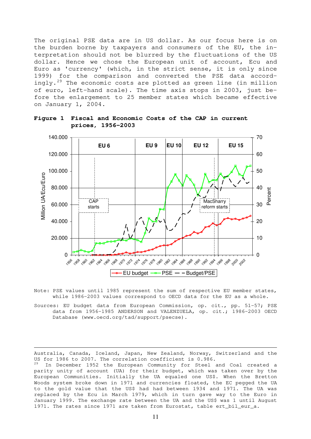The original PSE data are in US dollar. As our focus here is on the burden borne by taxpayers and consumers of the EU, the interpretation should not be blurred by the fluctuations of the US dollar. Hence we chose the European unit of account, Ecu and Euro as 'currency' (which, in the strict sense, it is only since 1999) for the comparison and converted the PSE data accordingly.[29](#page-11-0) The economic costs are plotted as green line (in million of euro, left-hand scale). The time axis stops in 2003, just before the enlargement to 25 member states which became effective on January 1, 2004.



**Figure 1 Fiscal and Economic Costs of the CAP in current prices, 1956-2003** 

Note: PSE values until 1985 represent the sum of respective EU member states, while 1986-2003 values correspond to OECD data for the EU as a whole.

Sources: EU budget data from European Commission, op. cit., pp. 51-57; PSE data from 1956-1985 ANDERSON and VALENZUELA, op. cit.; 1986-2003 OECD Database ([www.oecd.org/tad/support/psecse\)](http://www.oecd.org/tad/support/psecse).

Australia, Canada, Iceland, Japan, New Zealand, Norway, Switzerland and the US for 1986 to 2007. The correlation coefficient is 0.986.

 $\overline{a}$ 

<span id="page-11-0"></span>In December 1952 the European Community for Steel and Coal created a parity unity of account (UA) for their budget, which was taken over by the European Communities. Initially the UA equaled one US\$. When the Bretton Woods system broke down in 1971 and currencies floated, the EC pegged the UA to the gold value that the US\$ had had between 1934 and 1971. The UA was replaced by the Ecu in March 1979, which in turn gave way to the Euro in January 1999. The exchange rate between the UA and the US\$ was 1 until August 1971. The rates since 1971 are taken from Eurostat, table ert\_bil\_eur\_a.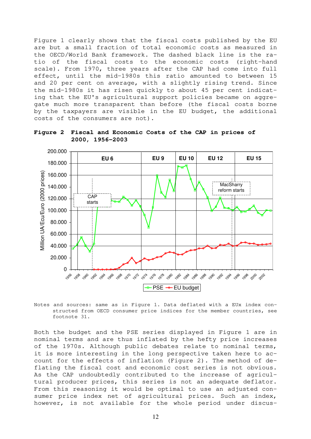Figure 1 clearly shows that the fiscal costs published by the EU are but a small fraction of total economic costs as measured in the OECD/World Bank framework. The dashed black line is the ratio of the fiscal costs to the economic costs (right-hand scale). From 1970, three years after the CAP had come into full effect, until the mid-1980s this ratio amounted to between 15 and 20 per cent on average, with a slightly rising trend. Since the mid-1980s it has risen quickly to about 45 per cent indicating that the EU's agricultural support policies became on aggregate much more transparent than before (the fiscal costs borne by the taxpayers are visible in the EU budget, the additional costs of the consumers are not).



**Figure 2 Fiscal and Economic Costs of the CAP in prices of 2000, 1956-2003** 

Notes and sources: same as in Figure 1. Data deflated with a EUx index constructed from OECD consumer price indices for the member countries, see footnote 31.

Both the budget and the PSE series displayed in Figure 1 are in nominal terms and are thus inflated by the hefty price increases of the 1970s. Although public debates relate to nominal terms, it is more interesting in the long perspective taken here to account for the effects of inflation (Figure 2). The method of deflating the fiscal cost and economic cost series is not obvious. As the CAP undoubtedly contributed to the increase of agricultural producer prices, this series is not an adequate deflator. From this reasoning it would be optimal to use an adjusted consumer price index net of agricultural prices. Such an index, however, is not available for the whole period under discus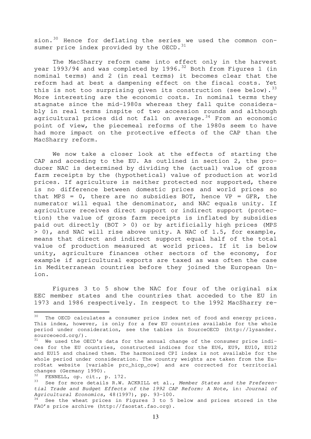sion.<sup>[30](#page-13-0)</sup> Hence for deflating the series we used the common consumer price index provided by the OECD.  $31$ 

The MacSharry reform came into effect only in the harvest year 1993/94 and was completed by 1996.<sup>[32](#page-13-2)</sup> Both from Figures 1 (in nominal terms) and 2 (in real terms) it becomes clear that the reform had at best a dampening effect on the fiscal costs. Yet this is not too surprising given its construction (see below).  $33$ More interesting are the economic costs. In nominal terms they stagnate since the mid-1980s whereas they fall quite considerably in real terms inspite of two accession rounds and although agricultural prices did not fall on average. $34$  From an economic point of view, the piecemeal reforms of the 1980s seem to have had more impact on the protective effects of the CAP than the MacSharry reform.

We now take a closer look at the effects of starting the CAP and acceding to the EU. As outlined in section 2, the producer NAC is determined by dividing the (actual) value of gross farm receipts by the (hypothetical) value of production at world prices. If agriculture is neither protected nor supported, there is no difference between domestic prices and world prices so that MPS =  $0$ , there are no subsidies BOT, hence VP = GFR, the numerator will equal the denominator, and NAC equals unity. If agriculture receives direct support or indirect support (protection) the value of gross farm receipts is inflated by subsidies paid out directly (BOT > 0) or by artificially high prices (MPS > 0), and NAC will rise above unity. A NAC of 1.5, for example, means that direct and indirect support equal half of the total value of production measured at world prices. If it is below unity, agriculture finances other sectors of the economy, for example if agricultural exports are taxed as was often the case in Mediterranean countries before they joined the European Union.

Figures 3 to 5 show the NAC for four of the original six EEC member states and the countries that acceded to the EU in 1973 and 1986 respectively. In respect to the 1992 MacSharry re-

<span id="page-13-0"></span> $30$  The OECD calculates a consumer price index net of food and energy prices. This index, however, is only for a few EU countries available for the whole period under consideration, see the tables in SourceOECD (http://lysander. sourceoecd.org/).

<span id="page-13-1"></span><sup>&</sup>lt;sup>31</sup> We used the OECD's data for the annual change of the consumer price indices for the EU countries, constructed indices for the EU6, EU9, EU10, EU12 and EU15 and chained them. The harmonized CPI index is not available for the whole period under consideration. The country weights are taken from the EuroStat website [variable prc\_hicp\_cow] and are corrected for territorial changes (Germany 1990).

<span id="page-13-2"></span> $32$  FENNELL, op. cit., p. 172.

<span id="page-13-3"></span><sup>&</sup>lt;sup>33</sup> See for more details R.W. ACKRILL et al., Member States and the Preferential Trade and Budget Effects of the 1992 CAP Reform: A Note, in: Journal of Agricultural Economics, 48(1997), pp. 93-100.

<span id="page-13-4"></span> $34$  See the wheat prices in Figures 3 to 5 below and prices stored in the FAO's price archive (http://faostat.fao.org).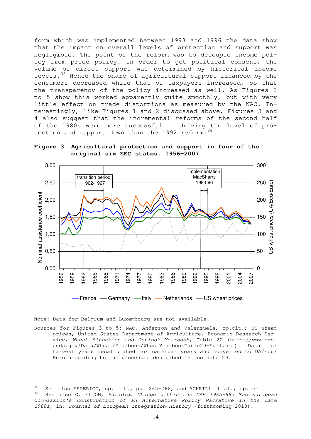form which was implemented between 1993 and 1996 the data show that the impact on overall levels of protection and support was negligible. The point of the reform was to decouple income policy from price policy. In order to get political consent, the volume of direct support was determined by historical income levels.<sup>[35](#page-14-0)</sup> Hence the share of agricultural support financed by the consumers decreased while that of taxpayers increased, so that the transparency of the policy increased as well. As Figures 3 to 5 show this worked apparently quite smoothly, but with very little effect on trade distortions as measured by the NAC. Interestingly, like Figures 1 and 2 discussed above, Figures 3 and 4 also suggest that the incremental reforms of the second half of the 1980s were more successful in driving the level of pro-tection and support down than the 1992 reform.<sup>[36](#page-14-1)</sup>





Note: Data for Belgium and Luxembourg are not available.

 $\overline{a}$ 

Sources for Figures 3 to 5: NAC, Anderson and Valenzuela, op.cit.; US wheat prices, United States Department of Agriculture, Economic Research Service, Wheat Situation and Outlook Yearbook, Table 20 (http://www.ers. usda.gov/Data/Wheat/Yearbook/WheatYearbookTable20-Full.htm). Data for harvest years recalculated for calendar years and converted to UA/Ecu/ Euro according to the procedure described in footnote 29.

<span id="page-14-1"></span><span id="page-14-0"></span><sup>35</sup> See also FEDERICO, op. cit., pp. 265-266, and ACKRILL et al., op. cit. See also C. ELTON, Paradigm Change within the CAP 1985-88: The European Commission's Construction of an Alternative Policy Narrative in the Late 1980s, in: Journal of European Integration History (forthcoming 2010).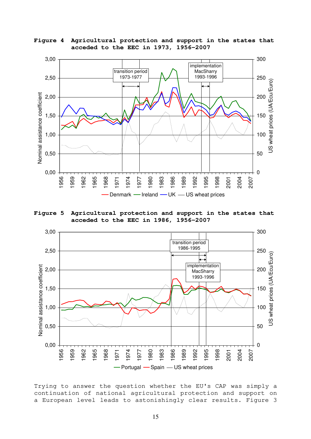**Figure 4 Agricultural protection and support in the states that acceded to the EEC in 1973, 1956-2007** 



**Figure 5 Agricultural protection and support in the states that acceded to the EEC in 1986, 1956-2007** 



Trying to answer the question whether the EU's CAP was simply a continuation of national agricultural protection and support on a European level leads to astonishingly clear results. Figure 3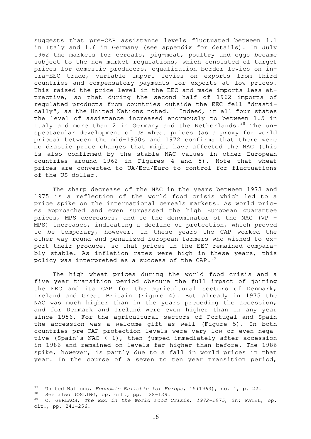suggests that pre-CAP assistance levels fluctuated between 1.1 in Italy and 1.6 in Germany (see appendix for details). In July 1962 the markets for cereals, pig-meat, poultry and eggs became subject to the new market regulations, which consisted of target prices for domestic producers, equalization border levies on intra-EEC trade, variable import levies on exports from third countries and compensatory payments for exports at low prices. This raised the price level in the EEC and made imports less attractive, so that during the second half of 1962 imports of regulated products from countries outside the EEC fell "drasti-cally", as the United Nations noted.<sup>[37](#page-16-0)</sup> Indeed, in all four states the level of assistance increased enormously to between 1.5 in Italy and more than 2 in Germany and the Netherlands.  $38$  The unspectacular development of US wheat prices (as a proxy for world prices) between the mid-1950s and 1972 confirms that there were no drastic price changes that might have affected the NAC (this is also confirmed by the stable NAC values in other European countries around 1962 in Figures 4 and 5). Note that wheat prices are converted to UA/Ecu/Euro to control for fluctuations of the US dollar.

The sharp decrease of the NAC in the years between 1973 and 1975 is a reflection of the world food crisis which led to a price spike on the international cereals markets. As world prices approached and even surpassed the high European guarantee prices, MPS decreases, and so the denominator of the NAC (VP – MPS) increases, indicating a decline of protection, which proved to be temporary, however. In these years the CAP worked the other way round and penalized European farmers who wished to export their produce, so that prices in the EEC remained comparably stable. As inflation rates were high in these years, this policy was interpreted as a success of the CAP.  $39$ 

The high wheat prices during the world food crisis and a five year transition period obscure the full impact of joining the EEC and its CAP for the agricultural sectors of Denmark, Ireland and Great Britain (Figure 4). But already in 1975 the NAC was much higher than in the years preceding the accession, and for Denmark and Ireland were even higher than in any year since 1956. For the agricultural sectors of Portugal and Spain the accession was a welcome gift as well (Figure 5). In both countries pre-CAP protection levels were very low or even negative (Spain's NAC < 1), then jumped immediately after accession in 1986 and remained on levels far higher than before. The 1986 spike, however, is partly due to a fall in world prices in that year. In the course of a seven to ten year transition period,

 $\overline{a}$ 

<span id="page-16-1"></span><span id="page-16-0"></span> $37$  United Nations, *Economic Bulletin for Europe*, 15(1963), no. 1, p. 22.

See also JOSLING, op. cit., pp. 128-129.

<span id="page-16-2"></span><sup>&</sup>lt;sup>39</sup> C. GERLACH, The EEC in the World Food Crisis, 1972-1975, in: PATEL, op. cit., pp. 241-256.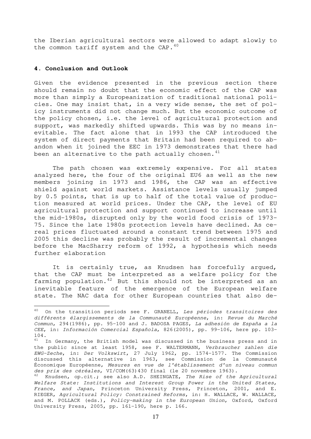the Iberian agricultural sectors were allowed to adapt slowly to the common tariff system and the CAP. $40$ 

#### **4. Conclusion and Outlook**

l.

Given the evidence presented in the previous section there should remain no doubt that the economic effect of the CAP was more than simply a Europeanization of traditional national policies. One may insist that, in a very wide sense, the set of policy instruments did not change much. But the economic outcome of the policy chosen, i.e. the level of agricultural protection and support, was markedly shifted upwards. This was by no means inevitable. The fact alone that in 1993 the CAP introduced the system of direct payments that Britain had been required to abandon when it joined the EEC in 1973 demonstrates that there had been an alternative to the path actually chosen. $41$ 

The path chosen was extremely expensive. For all states analyzed here, the four of the original EU6 as well as the new members joining in 1973 and 1986, the CAP was an effective shield against world markets. Assistance levels usually jumped by 0.5 points, that is up to half of the total value of production measured at world prices. Under the CAP, the level of EU agricultural protection and support continued to increase until the mid-1980s, disrupted only by the world food crisis of 1973- 75. Since the late 1980s protection levels have declined. As cereal prices fluctuated around a constant trend between 1975 and 2005 this decline was probably the result of incremental changes before the MacSharry reform of 1992, a hypothesis which needs further elaboration

It is certainly true, as Knudsen has forcefully argued, that the CAP must be interpreted as a welfare policy for the farming population. $42$  But this should not be interpreted as an inevitable feature of the emergence of the European welfare state. The NAC data for other European countries that also de-

<span id="page-17-0"></span><sup>&</sup>lt;sup>40</sup> On the transition periods see F. GRANELL, Les périodes transitoires des différents élargissements de la Communauté Européenne, in: Revue du Marché Commun, 294(1986), pp. 95-100 and J. BADOSA PAGES, La adhesión de España a la CEE, in: Información Comercial Española, 826(2005), pp. 99-106, here pp. 103-  $_{41}^{104}$ .

<span id="page-17-1"></span>In Germany, the British model was discussed in the business press and in the public since at least 1958, see F. WALTERMANN, Verbraucher zahlen die EWG-Zeche, in: Der Volkswirt, 27 July 1962, pp. 1574-1577. The Commission discussed this alternative in 1963, see Commission de la Communauté Économique Européenne, Mesures en vue de l'établissement d'un niveau commun des prix des céréales, VI/COM(63)430 final (le 20 novembre 1963).

<span id="page-17-2"></span> $42$  Knudsen, op.cit.; see also A.D. SHEINGATE, The Rise of the Agricultural Welfare State: Institutions and Interest Group Power in the United States, France, and Japan, Princeton University Press, Princeton, 2001, and E. RIEGER, Agricultural Policy: Constrained Reforms, in: H. WALLACE, W. WALLACE, and M. POLLACK (eds.), Policy-making in the European Union, Oxford, Oxford University Press, 2005, pp. 161-190, here p. 166.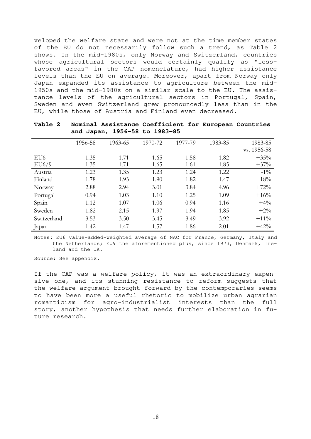veloped the welfare state and were not at the time member states of the EU do not necessarily follow such a trend, as Table 2 shows. In the mid-1980s, only Norway and Switzerland, countries whose agricultural sectors would certainly qualify as "lessfavored areas" in the CAP nomenclature, had higher assistance levels than the EU on average. Moreover, apart from Norway only Japan expanded its assistance to agriculture between the mid-1950s and the mid-1980s on a similar scale to the EU. The assistance levels of the agricultural sectors in Portugal, Spain, Sweden and even Switzerland grew pronouncedly less than in the EU, while those of Austria and Finland even decreased.

|                 | 1956-58 | 1963-65 | 1970-72 | 1977-79 | 1983-85 | 1983-85     |
|-----------------|---------|---------|---------|---------|---------|-------------|
|                 |         |         |         |         |         | vs. 1956-58 |
| EU <sub>6</sub> | 1.35    | 1.71    | 1.65    | 1.58    | 1.82    | $+35%$      |
| EU6/9           | 1.35    | 1.71    | 1.65    | 1.61    | 1.85    | $+37%$      |
| Austria         | 1.23    | 1.35    | 1.23    | 1.24    | 1.22    | $-1\%$      |
| Finland         | 1.78    | 1.93    | 1.90    | 1.82    | 1.47    | $-18%$      |
| Norway          | 2.88    | 2.94    | 3.01    | 3.84    | 4.96    | $+72%$      |
| Portugal        | 0.94    | 1.03    | 1.10    | 1.25    | 1.09    | $+16%$      |
| Spain           | 1.12    | 1.07    | 1.06    | 0.94    | 1.16    | $+4\%$      |
| Sweden          | 1.82    | 2.15    | 1.97    | 1.94    | 1.85    | $+2\%$      |
| Switzerland     | 3.53    | 3.50    | 3.45    | 3.49    | 3.92    | $+11\%$     |
| Japan           | 1.42    | 1.47    | 1.57    | 1.86    | 2.01    | $+42%$      |

**Table 2 Nominal Assistance Coefficient for European Countries and Japan, 1956-58 to 1983-85** 

Notes: EU6 value-added-weighted average of NAC for France, Germany, Italy and the Netherlands; EU9 the aforementioned plus, since 1973, Denmark, Ireland and the UK.

Source: See appendix.

If the CAP was a welfare policy, it was an extraordinary expensive one, and its stunning resistance to reform suggests that the welfare argument brought forward by the contemporaries seems to have been more a useful rhetoric to mobilize urban agrarian romanticism for agro-industrialist interests than the full story, another hypothesis that needs further elaboration in future research.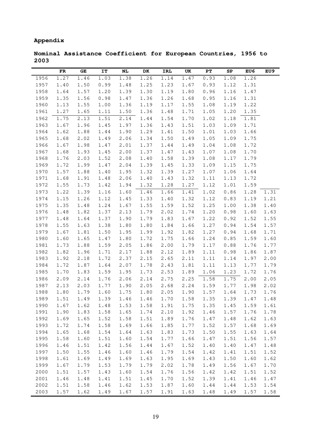# **Appendix**

**Nominal Assistance Coefficient for European Countries, 1956 to 2003** 

|              | FR           | GE           | IT           | NL           | DK           | IRL          | UK           | РT           | SP           | EU6          | EU9  |
|--------------|--------------|--------------|--------------|--------------|--------------|--------------|--------------|--------------|--------------|--------------|------|
| 1956         | 1.27         | 1.46         | 1.03         | 1.38         | 1.26         | 1.14         | 1.47         | 0.93         | 1.08         | 1.26         |      |
| 1957         | 1.40         | 1.50         | 0.99         | 1.48         | 1.25         | 1.23         | 1.67         | 0.93         | 1.12         | 1.31         |      |
| 1958         | 1.64         | 1.57         | 1.20         | 1.39         | 1.30         | 1.19         | 1.80         | 0.96         | 1.16         | 1.47         |      |
| 1959         | 1.35         | 1.56         | 0.98         | 1.47         | 1.36         | 1.26         | 1.68         | 0.95         | 1.16         | 1.31         |      |
| 1960         | 1.13         | 1.55         | 1.00         | 1.36         | 1.19         | 1.17         | 1.55         | 1.08         | 1.19         | 1.22         |      |
| 1961         | 1.27         | 1.65         | 1.11         | 1.50         | 1.36         | 1.48         | 1.71         | 1.05         | 1.20         | 1.35         |      |
| 1962         | 1.75         | 2.13         | 1.51         | 2.14         | 1.44         | 1.54         | 1.70         | 1.02         | 1.18         | 1.81         |      |
| 1963         | 1.67         | 1.96         | 1.45         | 1.97         | 1.36         | 1.43         | 1.51         | 1.03         | 1.09         | 1.71         |      |
| 1964         | 1.62         | 1.88         | 1.44         | 1.90         | 1.29         | 1.41         | 1.50         | 1.01         | 1.03         | 1.66         |      |
| 1965         | 1.68         | 2.02         | 1.49         | 2.06         | 1.34         | 1.50         | 1.49         | 1.05         | 1.09         | 1.75         |      |
| 1966         | 1.67         | 1.98         | 1.47         | 2.01         | 1.37         | 1.44         | 1.49         | 1.04         | 1.08         | 1.72         |      |
| 1967         | 1.68         | 1.93         | 1.45         | 2.00         | 1.37         | 1.47         | 1.43         | 1.07         | 1.08         | 1.70         |      |
| 1968         | 1.76         | 2.03         | 1.52         | 2.08         | 1.40         | 1.58         | 1.39         | 1.08         | 1.17         | 1.79         |      |
| 1969         | 1.72         | 1.99         | 1.47         | 2.04         | 1.39         | 1.45         | 1.33         | 1.09         | 1.15         | 1.75         |      |
| 1970         | 1.57         | 1.88         | 1.40         | 1.95         | 1.32         | 1.39         | 1.27         | 1.07         | 1.06         | 1.64         |      |
| 1971         | 1.68         | 1.91         | 1.48         | 2.06         | 1.40         | 1.43         | 1.32         | 1.11         | 1.13         | 1.72         |      |
| 1972         | 1.55         | 1.73         | 1.42         | 1.94         | 1.32         | 1.28         | 1.27         | 1.12         | 1.01         | 1.59         |      |
| 1973         | 1.22         | 1.39         | 1.16         | 1.60         | 1.46         | 1.66         | 1.41         | 1.02         | 0.86         | 1.28         | 1.31 |
| 1974         | 1.15         | 1.26         | 1.12         | 1.45         | 1.33         | 1.40         | 1.32         | 1.12         | 0.83         | 1.19         | 1.21 |
| 1975         | 1.35         | 1.48         | 1.24         | 1.67         | 1.55         | 1.59         | 1.52         | 1.25         | 1.00         | 1.38         | 1.40 |
| 1976         | 1.48         | 1.82         | 1.37         | 2.13         | 1.79         | 2.02         | 1.74         | 1.20         | 0.98         | 1.60         | 1.63 |
| 1977         | 1.48         | 1.64         | 1.37         | 1.90         | 1.79         | 1.83         | 1.67         | 1.22         | 0.92         | 1.52         | 1.55 |
| 1978         | 1.55         | 1.63         | 1.38         | 1.80         | 1.80         | 1.84         | 1.66         | 1.27         | 0.94         | 1.54         | 1.57 |
| 1979         | 1.67         | 1.81         | 1.50         | 1.95         | 1.99         | 1.92         | 1.82         | 1.27         | 0.94         | 1.68         | 1.71 |
| 1980         | 1.60         | 1.65         | 1.47         | 1.80         | 1.72         | 1.75         | 1.66         | 1.24         | 0.85         | 1.59         | 1.60 |
| 1981         | 1.73         | 1.88         | 1.59         | 2.05         | 1.86         | 2.00         | 1.79         | 1.17         | 0.88         | 1.76         | 1.77 |
| 1982         | 1.82         | 1.96         | 1.71         | 2.17         | 1.88         | 2.12         | 1.89         | 1.11         | 0.98         | 1.86         | 1.87 |
| 1983         | 1.92         | 2.18         | 1.72         | 2.37         | 2.15         | 2.65         | 2.11         | 1.11         | 1.14         | 1.97         | 2.00 |
| 1984         | 1.72         | 1.87         | 1.64         | 2.07         | 1.78         | 2.43         | 1.81         | 1.11         | 1.13         | 1.77         | 1.79 |
| 1985         | 1.70         | 1.83         | 1.59         | 1.95         | 1.73         | 2.53         | 1.89         | 1.06         | 1.23         | 1.72         | 1.76 |
| 1986         | 2.09         | 2.14         | 1.76         | 2.06         | 2.14         | 2.75         | 2.25         | 1.58         | 1.75         | 2.00         | 2.05 |
| 1987         | 2.13         | 2.03         | 1.77         | 1.90         | 2.05         | 2.68         | 2.24         | 1.59         | 1.77         | 1.98         | 2.02 |
| 1988         | 1.80         | 1.79         | 1.60         | 1.75         | 1.80         | 2.05         | 1.90         | 1.57         | 1.64         | 1.73         | 1.76 |
| 1989         | 1.51         | 1.49         | 1.39         | 1.46         | 1.46         | 1.70         | 1.58         | 1.35         | 1.39         | 1.47         | 1.48 |
| 1990         | 1.67         | 1.62         | 1.48         | 1.53         | 1.58         | 1.91         | 1.75         | 1.35         | 1.45         | 1.59         | 1.61 |
| 1991         | 1.90         | 1.83         | 1.58         | 1.65         | 1.74         | 2.10         | 1.92         | 1.46         | 1.57         | 1.76         | 1.78 |
| 1992         | 1.69         | 1.65         | 1.52         | 1.58         | 1.51         | 1.89         | 1.76         | 1.47         | 1.48         | 1.62         | 1.63 |
| 1993         | 1.72         | 1.74         | 1.58         | 1.69         | 1.66         | 1.85         | 1.77         | 1.52         | 1.57         | 1.68         | 1.69 |
| 1994         | 1.65         | 1.68         | 1.54         | 1.64         | 1.63         | 1.83         | 1.73         | 1.50         | 1.55         | 1.63         | 1.64 |
| 1995         | 1.58         | 1.60         | 1.51         | 1.60         | 1.54         | 1.77         | 1.66         | 1.47         | 1.51         | 1.56         | 1.57 |
| 1996         | 1.46         | 1.51         | 1.42         | 1.56         | 1.44         | 1.67         | 1.52         | 1.40         | 1.40         | 1.47         | 1.48 |
| 1997         | 1.50         | 1.55         | 1.46         | 1.60         | 1.46         | 1.79         | 1.54         | 1.42         | 1.41         | 1.51         | 1.52 |
| 1998         | 1.61         | 1.69         | 1.49         | 1.69         | 1.63         | 1.95         | 1.69         | 1.43         | 1.50         | 1.60         | 1.62 |
| 1999         | 1.67         | 1.79         | 1.53         | 1.79         | 1.79         | 2.02         | 1.78         | 1.49         | 1.56         | 1.67         | 1.70 |
| 2000         | 1.51         | 1.57         | 1.43         | 1.60         | 1.54         | 1.76         | 1.56         | 1.42         | 1.42         | 1.51         | 1.52 |
| 2001         | 1.46         | 1.48         | 1.41         | 1.51         | 1.45         | 1.70         | 1.52         | 1.39         | 1.41         | 1.46         | 1.47 |
| 2002<br>2003 | 1.51<br>1.57 | 1.58<br>1.62 | 1.46<br>1.49 | 1.62<br>1.67 | 1.53<br>1.57 | 1.87<br>1.91 | 1.60<br>1.63 | 1.44<br>1.48 | 1.44<br>1.49 | 1.53<br>1.57 | 1.54 |
|              |              |              |              |              |              |              |              |              |              |              | 1.58 |